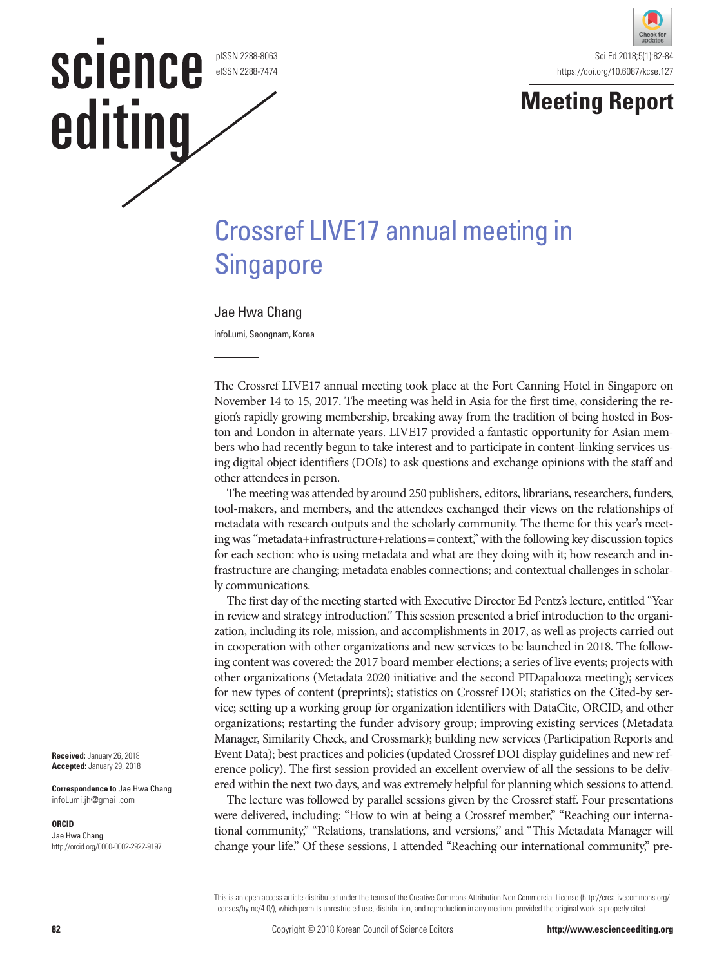#### pISSN 2288-8063 eISSN 2288-7474

science

editing



## **Meeting Report**

# Crossref LIVE17 annual meeting in **Singapore**

### Jae Hwa Chang

infoLumi, Seongnam, Korea

The Crossref LIVE17 annual meeting took place at the Fort Canning Hotel in Singapore on November 14 to 15, 2017. The meeting was held in Asia for the first time, considering the region's rapidly growing membership, breaking away from the tradition of being hosted in Boston and London in alternate years. LIVE17 provided a fantastic opportunity for Asian members who had recently begun to take interest and to participate in content-linking services using digital object identifiers (DOIs) to ask questions and exchange opinions with the staff and other attendees in person.

The meeting was attended by around 250 publishers, editors, librarians, researchers, funders, tool-makers, and members, and the attendees exchanged their views on the relationships of metadata with research outputs and the scholarly community. The theme for this year's meeting was "metadata+infrastructure+relations= context," with the following key discussion topics for each section: who is using metadata and what are they doing with it; how research and infrastructure are changing; metadata enables connections; and contextual challenges in scholarly communications.

The first day of the meeting started with Executive Director Ed Pentz's lecture, entitled "Year in review and strategy introduction." This session presented a brief introduction to the organization, including its role, mission, and accomplishments in 2017, as well as projects carried out in cooperation with other organizations and new services to be launched in 2018. The following content was covered: the 2017 board member elections; a series of live events; projects with other organizations (Metadata 2020 initiative and the second PIDapalooza meeting); services for new types of content (preprints); statistics on Crossref DOI; statistics on the Cited-by service; setting up a working group for organization identifiers with DataCite, ORCID, and other organizations; restarting the funder advisory group; improving existing services (Metadata Manager, Similarity Check, and Crossmark); building new services (Participation Reports and Event Data); best practices and policies (updated Crossref DOI display guidelines and new reference policy). The first session provided an excellent overview of all the sessions to be delivered within the next two days, and was extremely helpful for planning which sessions to attend.

The lecture was followed by parallel sessions given by the Crossref staff. Four presentations were delivered, including: "How to win at being a Crossref member," "Reaching our international community," "Relations, translations, and versions," and "This Metadata Manager will change your life." Of these sessions, I attended "Reaching our international community," pre-

This is an open access article distributed under the terms of the Creative Commons Attribution Non-Commercial License (http://creativecommons.org/ licenses/by-nc/4.0/), which permits unrestricted use, distribution, and reproduction in any medium, provided the original work is properly cited.

**Correspondence to** Jae Hwa Chang infoLumi.jh@gmail.com

#### **ORCID**

Jae Hwa Chang http://orcid.org/0000-0002-2922-9197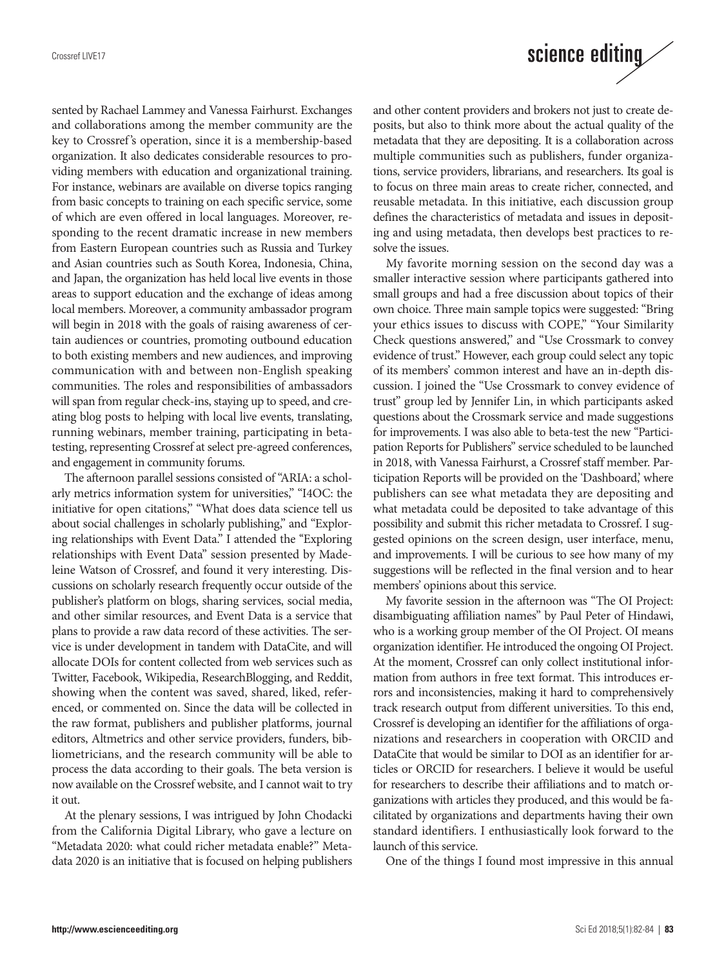sented by Rachael Lammey and Vanessa Fairhurst. Exchanges and collaborations among the member community are the key to Crossref's operation, since it is a membership-based organization. It also dedicates considerable resources to providing members with education and organizational training. For instance, webinars are available on diverse topics ranging from basic concepts to training on each specific service, some of which are even offered in local languages. Moreover, responding to the recent dramatic increase in new members from Eastern European countries such as Russia and Turkey and Asian countries such as South Korea, Indonesia, China, and Japan, the organization has held local live events in those areas to support education and the exchange of ideas among local members. Moreover, a community ambassador program will begin in 2018 with the goals of raising awareness of certain audiences or countries, promoting outbound education to both existing members and new audiences, and improving communication with and between non-English speaking communities. The roles and responsibilities of ambassadors will span from regular check-ins, staying up to speed, and creating blog posts to helping with local live events, translating, running webinars, member training, participating in betatesting, representing Crossref at select pre-agreed conferences, and engagement in community forums.

The afternoon parallel sessions consisted of "ARIA: a scholarly metrics information system for universities," "I4OC: the initiative for open citations," "What does data science tell us about social challenges in scholarly publishing," and "Exploring relationships with Event Data." I attended the ''Exploring relationships with Event Data" session presented by Madeleine Watson of Crossref, and found it very interesting. Discussions on scholarly research frequently occur outside of the publisher's platform on blogs, sharing services, social media, and other similar resources, and Event Data is a service that plans to provide a raw data record of these activities. The service is under development in tandem with DataCite, and will allocate DOIs for content collected from web services such as Twitter, Facebook, Wikipedia, ResearchBlogging, and Reddit, showing when the content was saved, shared, liked, referenced, or commented on. Since the data will be collected in the raw format, publishers and publisher platforms, journal editors, Altmetrics and other service providers, funders, bibliometricians, and the research community will be able to process the data according to their goals. The beta version is now available on the Crossref website, and I cannot wait to try it out.

At the plenary sessions, I was intrigued by John Chodacki from the California Digital Library, who gave a lecture on "Metadata 2020: what could richer metadata enable?" Metadata 2020 is an initiative that is focused on helping publishers

# science editing

and other content providers and brokers not just to create deposits, but also to think more about the actual quality of the metadata that they are depositing. It is a collaboration across multiple communities such as publishers, funder organizations, service providers, librarians, and researchers. Its goal is to focus on three main areas to create richer, connected, and reusable metadata. In this initiative, each discussion group defines the characteristics of metadata and issues in depositing and using metadata, then develops best practices to resolve the issues.

My favorite morning session on the second day was a smaller interactive session where participants gathered into small groups and had a free discussion about topics of their own choice. Three main sample topics were suggested: "Bring your ethics issues to discuss with COPE," "Your Similarity Check questions answered," and "Use Crossmark to convey evidence of trust." However, each group could select any topic of its members' common interest and have an in-depth discussion. I joined the "Use Crossmark to convey evidence of trust" group led by Jennifer Lin, in which participants asked questions about the Crossmark service and made suggestions for improvements. I was also able to beta-test the new "Participation Reports for Publishers" service scheduled to be launched in 2018, with Vanessa Fairhurst, a Crossref staff member. Participation Reports will be provided on the 'Dashboard,' where publishers can see what metadata they are depositing and what metadata could be deposited to take advantage of this possibility and submit this richer metadata to Crossref. I suggested opinions on the screen design, user interface, menu, and improvements. I will be curious to see how many of my suggestions will be reflected in the final version and to hear members' opinions about this service.

My favorite session in the afternoon was "The OI Project: disambiguating affiliation names" by Paul Peter of Hindawi, who is a working group member of the OI Project. OI means organization identifier. He introduced the ongoing OI Project. At the moment, Crossref can only collect institutional information from authors in free text format. This introduces errors and inconsistencies, making it hard to comprehensively track research output from different universities. To this end, Crossref is developing an identifier for the affiliations of organizations and researchers in cooperation with ORCID and DataCite that would be similar to DOI as an identifier for articles or ORCID for researchers. I believe it would be useful for researchers to describe their affiliations and to match organizations with articles they produced, and this would be facilitated by organizations and departments having their own standard identifiers. I enthusiastically look forward to the launch of this service.

One of the things I found most impressive in this annual